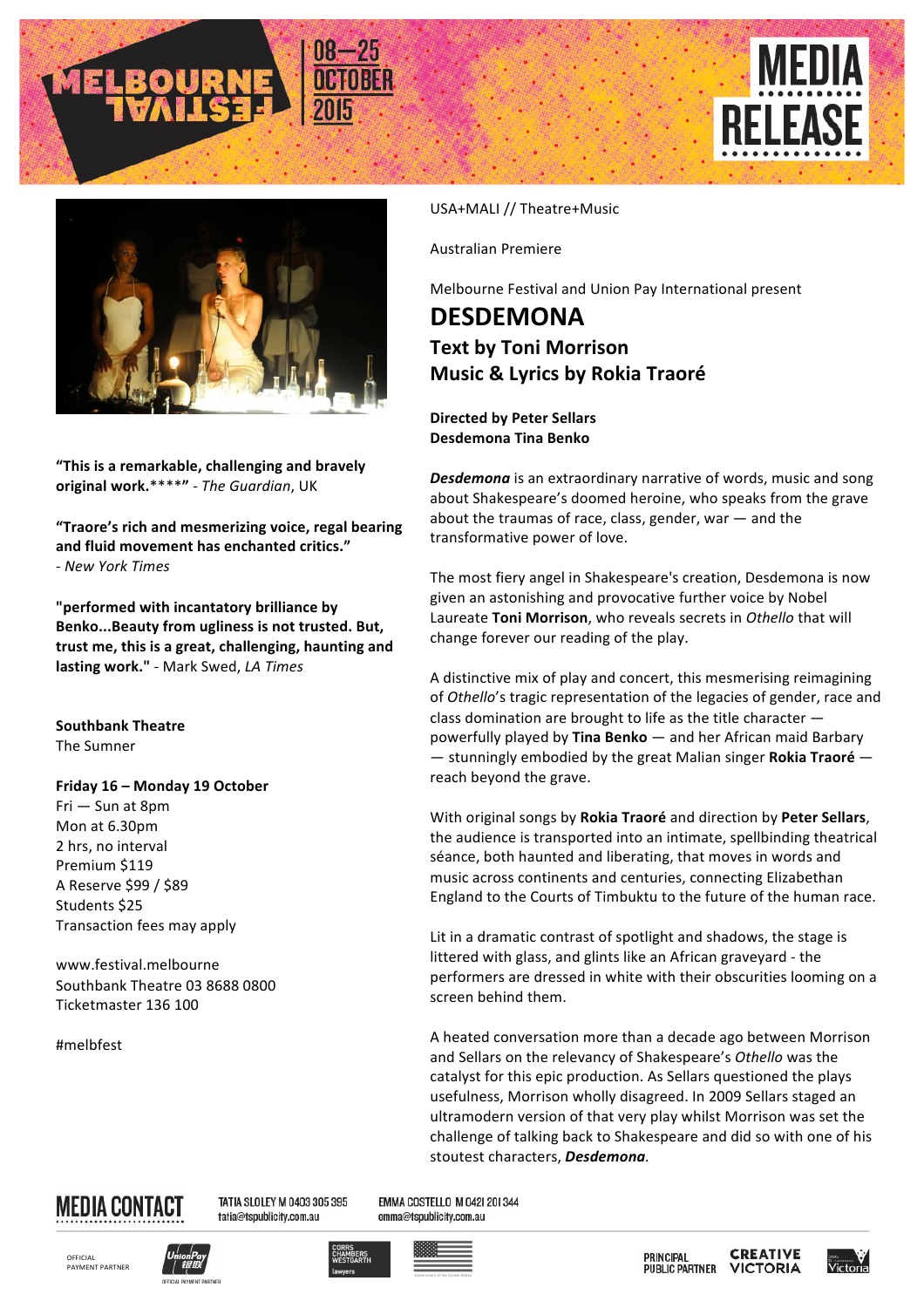





"This is a remarkable, challenging and bravely **original work.**\*\*\*\***"** - *The Guardian*, UK

"Traore's rich and mesmerizing voice, regal bearing and fluid movement has enchanted critics." - *New York Times*

**"performed with incantatory brilliance by**  Benko...Beauty from ugliness is not trusted. But, trust me, this is a great, challenging, haunting and **lasting work."** - Mark Swed, *LA Times*

**Southbank Theatre The Sumner** 

## **Friday 16 - Monday 19 October**

Fri - Sun at 8pm Mon at 6.30pm 2 hrs, no interval Premium \$119 A Reserve \$99 / \$89 Students \$25 Transaction fees may apply

www.festival.melbourne Southbank Theatre 03 8688 0800 Ticketmaster 136 100

#melbfest

## USA+MALI // Theatre+Music

Australian Premiere 

Melbourne Festival and Union Pay International present

## **DESDEMONA Text by Toni Morrison Music & Lyrics by Rokia Traoré**

**Directed by Peter Sellars Desdemona Tina Benko**

**Desdemona** is an extraordinary narrative of words, music and song about Shakespeare's doomed heroine, who speaks from the grave about the traumas of race, class, gender, war  $-$  and the transformative power of love.

The most fiery angel in Shakespeare's creation, Desdemona is now given an astonishing and provocative further voice by Nobel Laureate Toni Morrison, who reveals secrets in Othello that will change forever our reading of the play.

A distinctive mix of play and concert, this mesmerising reimagining of Othello's tragic representation of the legacies of gender, race and class domination are brought to life as the title character  $$ powerfully played by Tina Benko - and her African maid Barbary  $-$  stunningly embodied by the great Malian singer **Rokia Traoré** – reach beyond the grave.

With original songs by Rokia Traoré and direction by Peter Sellars, the audience is transported into an intimate, spellbinding theatrical séance, both haunted and liberating, that moves in words and music across continents and centuries, connecting Elizabethan England to the Courts of Timbuktu to the future of the human race.

Lit in a dramatic contrast of spotlight and shadows, the stage is littered with glass, and glints like an African graveyard - the performers are dressed in white with their obscurities looming on a screen behind them.

A heated conversation more than a decade ago between Morrison and Sellars on the relevancy of Shakespeare's Othello was the catalyst for this epic production. As Sellars questioned the plays usefulness, Morrison wholly disagreed. In 2009 Sellars staged an ultramodern version of that very play whilst Morrison was set the challenge of talking back to Shakespeare and did so with one of his stoutest characters. **Desdemona**.



TATIA SLOLEY M 0403 305 395 tatia@tspublicity.com.au

EMMA COSTELLO M 042| 20| 344 emma@tspublicity.com.au